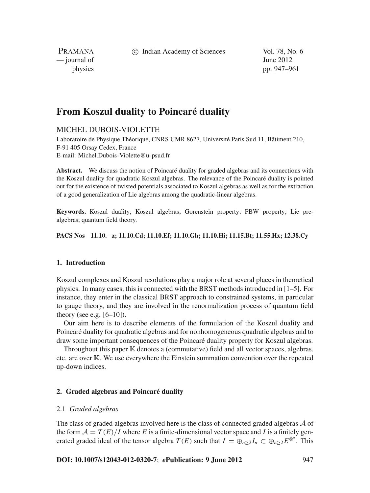c Indian Academy of Sciences Vol. 78, No. 6

PRAMANA  $\frac{1}{2}$  journal of June 2012

physics pp. 947–961

# **From Koszul duality to Poincaré duality**

# MICHEL DUBOIS-VIOLETTE

Laboratoire de Physique Théorique, CNRS UMR 8627, Université Paris Sud 11, Bâtiment 210, F-91 405 Orsay Cedex, France E-mail: Michel.Dubois-Violette@u-psud.fr

**Abstract.** We discuss the notion of Poincaré duality for graded algebras and its connections with the Koszul duality for quadratic Koszul algebras. The relevance of the Poincaré duality is pointed out for the existence of twisted potentials associated to Koszul algebras as well as for the extraction of a good generalization of Lie algebras among the quadratic-linear algebras.

**Keywords.** Koszul duality; Koszul algebras; Gorenstein property; PBW property; Lie prealgebras; quantum field theory.

# **PACS Nos 11.10.**−**z; 11.10.Cd; 11.10.Ef; 11.10.Gh; 11.10.Hi; 11.15.Bt; 11.55.Hx; 12.38.Cy**

#### **1. Introduction**

Koszul complexes and Koszul resolutions play a major role at several places in theoretical physics. In many cases, this is connected with the BRST methods introduced in [1–5]. For instance, they enter in the classical BRST approach to constrained systems, in particular to gauge theory, and they are involved in the renormalization process of quantum field theory (see e.g.  $[6-10]$ ).

Our aim here is to describe elements of the formulation of the Koszul duality and Poincaré duality for quadratic algebras and for nonhomogeneous quadratic algebras and to draw some important consequences of the Poincaré duality property for Koszul algebras.

Throughout this paper  $K$  denotes a (commutative) field and all vector spaces, algebras, etc. are over K. We use everywhere the Einstein summation convention over the repeated up-down indices.

## **2. Graded algebras and Poincaré duality**

#### 2.1 *Graded algebras*

The class of graded algebras involved here is the class of connected graded algebras  $A$  of the form  $A = T(E)/I$  where *E* is a finite-dimensional vector space and *I* is a finitely generated graded ideal of the tensor algebra  $T(E)$  such that  $I = \bigoplus_{n \geq 2} I_n \subset \bigoplus_{n \geq 2} E^{\otimes^n}$ . This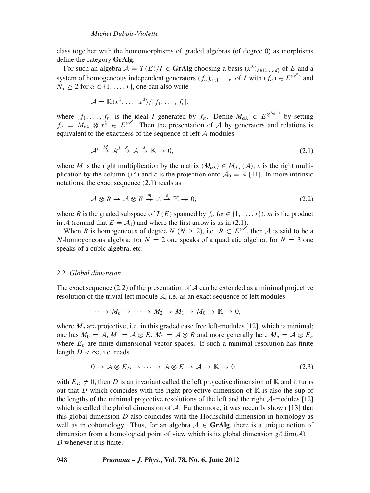class together with the homomorphisms of graded algebras (of degree 0) as morphisms define the category **GrAlg**.

For such an algebra  $\mathcal{A} = T(E)/I \in \mathbf{GrAlg}$  choosing a basis  $(x^{\lambda})_{\lambda \in \{1,\ldots,d\}}$  of *E* and a system of homogeneous independent generators  $(f_\alpha)_{\alpha \in \{1,\dots,r\}}$  of *I* with  $(f_\alpha) \in E^{\otimes^{N_\alpha}}$  and  $N_{\alpha} \geq 2$  for  $\alpha \in \{1, \ldots, r\}$ , one can also write

$$
\mathcal{A} = \mathbb{K}\langle x^1,\ldots,x^d\rangle/[f_1,\ldots,f_r],
$$

where  $[f_1,\ldots,f_r]$  is the ideal *I* generated by  $f_\alpha$ . Define  $M_{\alpha\lambda} \in E^{\otimes^{N_{\alpha}-1}}$  by setting  $f_\alpha = M_{\alpha\lambda} \otimes x^\lambda \in E^{\otimes^{N_\alpha}}$ . Then the presentation of A by generators and relations is equivalent to the exactness of the sequence of left A-modules

$$
\mathcal{A}^r \stackrel{M}{\to} \mathcal{A}^d \stackrel{x}{\to} \mathcal{A} \stackrel{\varepsilon}{\to} \mathbb{K} \to 0,\tag{2.1}
$$

where *M* is the right multiplication by the matrix  $(M_{\alpha\lambda}) \in M_{d,r}(\mathcal{A})$ , *x* is the right multiplication by the column  $(x^{\lambda})$  and  $\varepsilon$  is the projection onto  $\mathcal{A}_0 = \mathbb{K}$  [11]. In more intrinsic notations, the exact sequence (2.1) reads as

$$
\mathcal{A}\otimes R \to \mathcal{A}\otimes E \stackrel{m}{\to} \mathcal{A} \stackrel{\varepsilon}{\to} \mathbb{K} \to 0, \tag{2.2}
$$

where *R* is the graded subspace of  $T(E)$  spanned by  $f_\alpha$  ( $\alpha \in \{1, ..., r\}$ ), *m* is the product in A (remind that  $E = A_1$ ) and where the first arrow is as in (2.1).

When *R* is homogeneous of degree *N* ( $N \ge 2$ ), i.e.  $R \subset E^{\otimes^N}$ , then *A* is said to be a *N*-homogeneous algebra: for  $N = 2$  one speaks of a quadratic algebra, for  $N = 3$  one speaks of a cubic algebra, etc.

#### 2.2 *Global dimension*

The exact sequence  $(2.2)$  of the presentation of A can be extended as a minimal projective resolution of the trivial left module  $\mathbb{K}$ , i.e. as an exact sequence of left modules

$$
\cdots \to M_n \to \cdots \to M_2 \to M_1 \to M_0 \to \mathbb{K} \to 0,
$$

where  $M_n$  are projective, i.e. in this graded case free left-modules [12], which is minimal; one has  $M_0 = A$ ,  $M_1 = A \otimes E$ ,  $M_2 = A \otimes R$  and more generally here  $M_n = A \otimes E_n$ where  $E_n$  are finite-dimensional vector spaces. If such a minimal resolution has finite length  $D < \infty$ , i.e. reads

$$
0 \to \mathcal{A} \otimes E_D \to \cdots \to \mathcal{A} \otimes E \to \mathcal{A} \to \mathbb{K} \to 0
$$
 (2.3)

with  $E_D \neq 0$ , then *D* is an invariant called the left projective dimension of K and it turns out that *D* which coincides with the right projective dimension of  $\mathbb{K}$  is also the sup of the lengths of the minimal projective resolutions of the left and the right  $\mathcal{A}\text{-modules}$  [12] which is called the global dimension of  $A$ . Furthermore, it was recently shown [13] that this global dimension *D* also coincides with the Hochschild dimension in homology as well as in cohomology. Thus, for an algebra  $A \in \mathbf{GrAlg}$ , there is a unique notion of dimension from a homological point of view which is its global dimension  $g\ell \dim(A) =$ *D* whenever it is finite.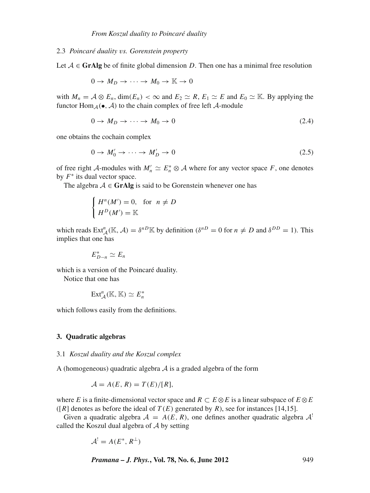#### 2.3 *Poincaré duality* v*s. Gorenstein property*

Let  $A \in \mathbf{GrAlg}$  be of finite global dimension *D*. Then one has a minimal free resolution

$$
0 \to M_D \to \cdots \to M_0 \to \mathbb{K} \to 0
$$

with  $M_n = A \otimes E_n$ , dim $(E_n) < \infty$  and  $E_2 \simeq R$ ,  $E_1 \simeq E$  and  $E_0 \simeq K$ . By applying the functor  $\text{Hom}_{\mathcal{A}}(\bullet, \mathcal{A})$  to the chain complex of free left  $\mathcal{A}$ -module

$$
0 \to M_D \to \cdots \to M_0 \to 0 \tag{2.4}
$$

one obtains the cochain complex

$$
0 \to M'_0 \to \cdots \to M'_D \to 0 \tag{2.5}
$$

of free right A-modules with  $M'_n \simeq E_n^* \otimes A$  where for any vector space F, one denotes by *F*<sup>∗</sup> its dual vector space.

The algebra  $A \in \mathbf{GrAlg}$  is said to be Gorenstein whenever one has

$$
\begin{cases}\nH^n(M') = 0, & \text{for } n \neq D \\
H^D(M') = \mathbb{K}\n\end{cases}
$$

which reads  $\text{Ext}_{\mathcal{A}}^n(\mathbb{K}, \mathcal{A}) = \delta^{n} \mathbb{K}$  by definition ( $\delta^{n} = 0$  for  $n \neq D$  and  $\delta^{DD} = 1$ ). This implies that one has

$$
E_{D-n}^* \simeq E_n
$$

which is a version of the Poincaré duality.

Notice that one has

$$
\mathrm{Ext}^n_{\mathcal{A}}(\mathbb{K},\mathbb{K})\simeq E_n^*
$$

which follows easily from the definitions.

#### **3. Quadratic algebras**

#### 3.1 *Koszul duality and the Koszul complex*

A (homogeneous) quadratic algebra  $A$  is a graded algebra of the form

$$
A = A(E, R) = T(E)/[R],
$$

where *E* is a finite-dimensional vector space and  $R \subset E \otimes E$  is a linear subspace of  $E \otimes E$ ( $[R]$  denotes as before the ideal of  $T(E)$  generated by  $R$ ), see for instances [14,15].

Given a quadratic algebra  $A = A(E, R)$ , one defines another quadratic algebra  $A<sup>1</sup>$ called the Koszul dual algebra of  $A$  by setting

$$
\mathcal{A}^! = A(E^*, R^\perp)
$$

*Pramana – J. Phys.***, Vol. 78, No. 6, June 2012** 949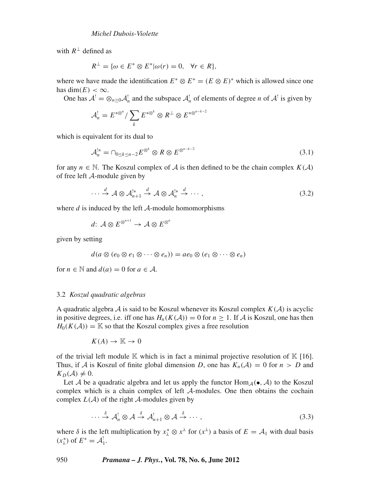with  $R^{\perp}$  defined as

$$
R^{\perp} = \{ \omega \in E^* \otimes E^* | \omega(r) = 0, \quad \forall r \in R \},
$$

where we have made the identification  $E^* \otimes E^* = (E \otimes E)^*$  which is allowed since one has  $\dim(E) < \infty$ .

One has  $A^! = \otimes_{n \geq 0} A^!_n$  and the subspace  $A^!_n$  of elements of degree *n* of  $A^!$  is given by

$$
\mathcal{A}^!_n = E^{*\otimes^n}/\sum_k E^{*\otimes^k} \otimes R^\perp \otimes E^{*\otimes^{n-k-2}}
$$

which is equivalent for its dual to

$$
\mathcal{A}_n^{!*} = \bigcap_{0 \le k \le n-2} E^{\otimes^k} \otimes R \otimes E^{\otimes^{n-k-2}} \tag{3.1}
$$

for any  $n \in \mathbb{N}$ . The Koszul complex of A is then defined to be the chain complex  $K(\mathcal{A})$ of free left A-module given by

$$
\cdots \stackrel{d}{\to} \mathcal{A} \otimes \mathcal{A}_{n+1}^{!*} \stackrel{d}{\to} \mathcal{A} \otimes \mathcal{A}_n^{!*} \stackrel{d}{\to} \cdots,
$$
 (3.2)

where  $d$  is induced by the left  $A$ -module homomorphisms

 $d\colon \mathcal{A} \otimes E^{\otimes^{n+1}} \to \mathcal{A} \otimes E^{\otimes^n}$ 

given by setting

$$
d(a\otimes (e_0\otimes e_1\otimes\cdots\otimes e_n))=ae_0\otimes (e_1\otimes\cdots\otimes e_n)
$$

for  $n \in \mathbb{N}$  and  $d(a) = 0$  for  $a \in \mathcal{A}$ .

## 3.2 *Koszul quadratic algebras*

A quadratic algebra  $A$  is said to be Koszul whenever its Koszul complex  $K(A)$  is acyclic in positive degrees, i.e. iff one has  $H_n(K(\mathcal{A})) = 0$  for  $n \geq 1$ . If  $\mathcal A$  is Koszul, one has then  $H_0(K(\mathcal{A})) = \mathbb{K}$  so that the Koszul complex gives a free resolution

$$
K(A) \to \mathbb{K} \to 0
$$

of the trivial left module  $\mathbb K$  which is in fact a minimal projective resolution of  $\mathbb K$  [16]. Thus, if A is Koszul of finite global dimension D, one has  $K_n(\mathcal{A}) = 0$  for  $n > D$  and  $K_D(\mathcal{A}) \neq 0$ .

Let A be a quadratic algebra and let us apply the functor Hom  $_A(\bullet, A)$  to the Koszul complex which is a chain complex of left A-modules. One then obtains the cochain complex  $L(A)$  of the right  $A$ -modules given by

$$
\cdots \stackrel{\delta}{\to} \mathcal{A}_n^! \otimes \mathcal{A} \stackrel{\delta}{\to} \mathcal{A}_{n+1}^! \otimes \mathcal{A} \stackrel{\delta}{\to} \cdots,
$$
 (3.3)

where  $\delta$  is the left multiplication by  $x_{\lambda}^* \otimes x^{\lambda}$  for  $(x^{\lambda})$  a basis of  $E = A_1$  with dual basis  $(x_{\lambda}^*)$  of  $E^* = \mathcal{A}_1^!$ .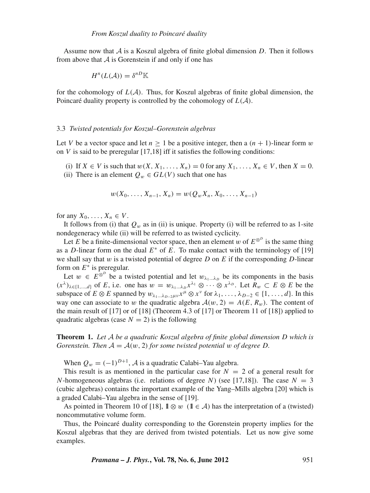Assume now that A is a Koszul algebra of finite global dimension *D*. Then it follows from above that  $\vec{A}$  is Gorenstein if and only if one has

$$
H^n(L(\mathcal{A})) = \delta^{nD} \mathbb{K}
$$

for the cohomology of  $L(\mathcal{A})$ . Thus, for Koszul algebras of finite global dimension, the Poincaré duality property is controlled by the cohomology of *L*(A).

#### 3.3 *Twisted potentials for Koszul–Gorenstein algebras*

Let *V* be a vector space and let  $n \ge 1$  be a positive integer, then a  $(n + 1)$ -linear form w on *V* is said to be preregular [17,18] iff it satisfies the following conditions:

- (i) If  $X \in V$  is such that  $w(X, X_1, \ldots, X_n) = 0$  for any  $X_1, \ldots, X_n \in V$ , then  $X = 0$ .
- (ii) There is an element  $Q_w \in GL(V)$  such that one has

$$
w(X_0, \ldots, X_{n-1}, X_n) = w(Q_w X_n, X_0, \ldots, X_{n-1})
$$

for any  $X_0, \ldots, X_n \in V$ .

It follows from (i) that  $Q_w$  as in (ii) is unique. Property (i) will be referred to as 1-site nondegeneracy while (ii) will be referred to as twisted cyclicity.

Let *E* be a finite-dimensional vector space, then an element w of  $E^{\otimes^D}$  is the same thing as a *D*-linear form on the dual *E*<sup>∗</sup> of *E*. To make contact with the terminology of [19] we shall say that w is a twisted potential of degree  $D$  on  $E$  if the corresponding  $D$ -linear form on *E*<sup>∗</sup> is preregular.

Let  $w \in E^{\otimes^D}$  be a twisted potential and let  $w_{\lambda_1...\lambda_D}$  be its components in the basis  $(x^{\lambda})_{\lambda \in \{1,\dots,d\}}$  of *E*, i.e. one has  $w = w_{\lambda_1 \dots \lambda_D} x^{\lambda_1} \otimes \cdots \otimes x^{\lambda_D}$ . Let  $R_w \subset E \otimes E$  be the subspace of  $E \otimes E$  spanned by  $w_{\lambda_1...\lambda_{D-2}\mu\nu} x^{\mu} \otimes x^{\nu}$  for  $\lambda_1, ..., \lambda_{D-2} \in \{1, ..., d\}$ . In this way one can associate to w the quadratic algebra  $A(w, 2) = A(E, R_w)$ . The content of the main result of  $[17]$  or of  $[18]$  (Theorem 4.3 of  $[17]$  or Theorem 11 of  $[18]$ ) applied to quadratic algebras (case  $N = 2$ ) is the following

**Theorem 1.** *Let* A *be a quadratic Koszul algebra of finite global dimension D which is Gorenstein. Then*  $A = A(w, 2)$  *for some twisted potential* w *of degree D*.

When  $Q_w = (-1)^{D+1}$ , A is a quadratic Calabi–Yau algebra.

This result is as mentioned in the particular case for  $N = 2$  of a general result for *N*-homogeneous algebras (i.e. relations of degree *N*) (see [17,18]). The case  $N = 3$ (cubic algebras) contains the important example of the Yang–Mills algebra [20] which is a graded Calabi–Yau algebra in the sense of [19].

As pointed in Theorem 10 of [18],  $\mathbb{1} \otimes w$  ( $\mathbb{1} \in \mathcal{A}$ ) has the interpretation of a (twisted) noncommutative volume form.

Thus, the Poincaré duality corresponding to the Gorenstein property implies for the Koszul algebras that they are derived from twisted potentials. Let us now give some examples.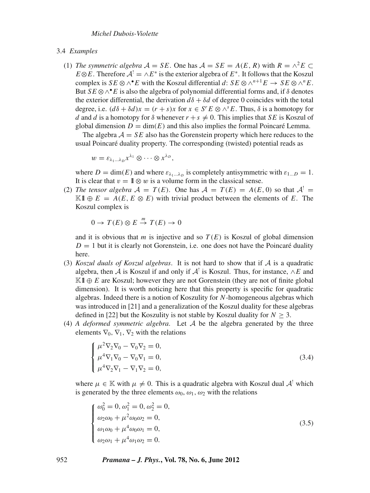#### 3.4 *Examples*

(1) *The symmetric algebra*  $A = SE$ . One has  $A = SE = A(E, R)$  with  $R = \wedge^2 E \subset$ *E*⊗*E*. Therefore  $A^! = \wedge E^*$  is the exterior algebra of  $E^*$ . It follows that the Koszul complex is  $SE \otimes \wedge^{\bullet} E$  with the Koszul differential *d*:  $SE \otimes \wedge^{n+1} E \rightarrow SE \otimes \wedge^{n} E$ . But *SE*  $\otimes \wedge^{\bullet} E$  is also the algebra of polynomial differential forms and, if  $\delta$  denotes the exterior differential, the derivation  $d\delta + \delta d$  of degree 0 coincides with the total degree, i.e.  $(d\delta + \delta d)x = (r + s)x$  for  $x \in S^r E \otimes \wedge^s E$ . Thus,  $\delta$  is a homotopy for *d* and *d* is a homotopy for  $\delta$  whenever  $r + s \neq 0$ . This implies that *SE* is Koszul of global dimension  $D = \dim(E)$  and this also implies the formal Poincaré Lemma.

The algebra  $A = SE$  also has the Gorenstein property which here reduces to the usual Poincaré duality property. The corresponding (twisted) potential reads as

$$
w=\varepsilon_{\lambda_1...\lambda_D}x^{\lambda_1}\otimes\cdots\otimes x^{\lambda_D},
$$

where  $D = \dim(E)$  and where  $\varepsilon_{\lambda_1...\lambda_p}$  is completely antisymmetric with  $\varepsilon_{1...D} = 1$ . It is clear that  $v = 1 \otimes w$  is a volume form in the classical sense.

(2) *The tensor algebra*  $A = T(E)$ . One has  $A = T(E) = A(E, 0)$  so that  $A^! =$ K1 ⊕  $E = A(E, E \otimes E)$  with trivial product between the elements of *E*. The Koszul complex is

$$
0 \to T(E) \otimes E \stackrel{m}{\to} T(E) \to 0
$$

and it is obvious that *m* is injective and so  $T(E)$  is Koszul of global dimension  $D = 1$  but it is clearly not Gorenstein, i.e. one does not have the Poincaré duality here.

- (3) *Koszul duals of Koszul algebras*. It is not hard to show that if A is a quadratic algebra, then A is Koszul if and only if  $A<sup>1</sup>$  is Koszul. Thus, for instance,  $\wedge E$  and K1l ⊕ *E* are Koszul; however they are not Gorenstein (they are not of finite global dimension). It is worth noticing here that this property is specific for quadratic algebras. Indeed there is a notion of Koszulity for *N*-homogeneous algebras which was introduced in [21] and a generalization of the Koszul duality for these algebras defined in [22] but the Koszulity is not stable by Koszul duality for  $N \geq 3$ .
- (4) *A deformed symmetric algebra*. Let A be the algebra generated by the three elements  $\nabla_0$ ,  $\nabla_1$ ,  $\nabla_2$  with the relations

$$
\begin{cases}\n\mu^2 \nabla_2 \nabla_0 - \nabla_0 \nabla_2 = 0, \\
\mu^4 \nabla_1 \nabla_0 - \nabla_0 \nabla_1 = 0, \\
\mu^4 \nabla_2 \nabla_1 - \nabla_1 \nabla_2 = 0,\n\end{cases}
$$
\n(3.4)

where  $\mu \in \mathbb{K}$  with  $\mu \neq 0$ . This is a quadratic algebra with Koszul dual  $\mathcal{A}^!$  which is generated by the three elements  $\omega_0$ ,  $\omega_1$ ,  $\omega_2$  with the relations

$$
\begin{cases}\n\omega_0^2 = 0, \omega_1^2 = 0, \omega_2^2 = 0, \\
\omega_2 \omega_0 + \mu^2 \omega_0 \omega_2 = 0, \\
\omega_1 \omega_0 + \mu^4 \omega_0 \omega_1 = 0, \\
\omega_2 \omega_1 + \mu^4 \omega_1 \omega_2 = 0.\n\end{cases} (3.5)
$$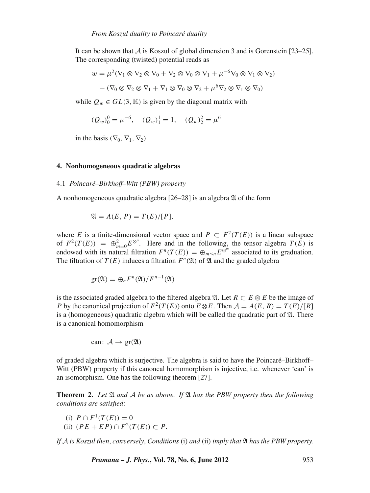It can be shown that  $\vec{A}$  is Koszul of global dimension 3 and is Gorenstein [23–25]. The corresponding (twisted) potential reads as

$$
w = \mu^2 (\nabla_1 \otimes \nabla_2 \otimes \nabla_0 + \nabla_2 \otimes \nabla_0 \otimes \nabla_1 + \mu^{-6} \nabla_0 \otimes \nabla_1 \otimes \nabla_2)
$$

$$
- (\nabla_0 \otimes \nabla_2 \otimes \nabla_1 + \nabla_1 \otimes \nabla_0 \otimes \nabla_2 + \mu^6 \nabla_2 \otimes \nabla_1 \otimes \nabla_0)
$$

while  $Q_w \in GL(3, \mathbb{K})$  is given by the diagonal matrix with

$$
(Q_w)_0^0 = \mu^{-6}
$$
,  $(Q_w)_1^1 = 1$ ,  $(Q_w)_2^2 = \mu^6$ 

in the basis ( $\nabla_0$ ,  $\nabla_1$ ,  $\nabla_2$ ).

### **4. Nonhomogeneous quadratic algebras**

#### 4.1 *Poincaré–Birkhoff–Witt (PBW) property*

A nonhomogeneous quadratic algebra  $[26-28]$  is an algebra  $\mathfrak A$  of the form

$$
\mathfrak{A} = A(E, P) = T(E)/[P],
$$

where *E* is a finite-dimensional vector space and  $P \subset F^2(T(E))$  is a linear subspace of  $F^2(T(E)) = \bigoplus_{m=0}^2 E^{\otimes^m}$ . Here and in the following, the tensor algebra  $T(E)$  is endowed with its natural filtration  $F^n(T(E)) = \bigoplus_{m \le n} E^{\otimes^m}$  associated to its graduation. The filtration of  $T(E)$  induces a filtration  $F^n(\mathfrak{A})$  of  $\mathfrak{A}$  and the graded algebra

$$
\mathrm{gr}(\mathfrak{A})=\bigoplus_n F^n(\mathfrak{A})/F^{n-1}(\mathfrak{A})
$$

is the associated graded algebra to the filtered algebra  $\mathfrak{A}$ . Let  $R \subset E \otimes E$  be the image of *P* by the canonical projection of  $F^2(T(E))$  onto  $E \otimes E$ . Then  $A = A(E, R) = T(E)/[R]$ is a (homogeneous) quadratic algebra which will be called the quadratic part of  $\mathfrak{A}$ . There is a canonical homomorphism

can: 
$$
\mathcal{A} \to \text{gr}(\mathfrak{A})
$$

of graded algebra which is surjective. The algebra is said to have the Poincaré–Birkhoff– Witt (PBW) property if this canoncal homomorphism is injective, i.e. whenever 'can' is an isomorphism. One has the following theorem [27].

**Theorem 2.** Let  $\mathfrak A$  and  $\mathcal A$  be as above. If  $\mathfrak A$  has the PBW property then the following *conditions are satisfied*:

(i)  $P \cap F^1(T(E)) = 0$ 

(ii)  $(PE + EP) ∩ F^2(T(E)) ⊂ P$ .

*If* A *is Koszul then*, *con*v*ersely*, *Conditions* (i) *and* (ii) *imply that* A *has the PBW property.*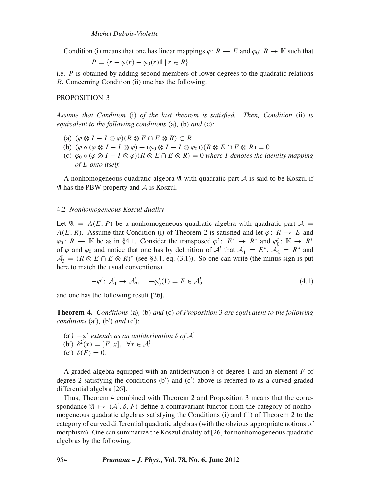Condition (i) means that one has linear mappings  $\varphi: R \to E$  and  $\varphi_0: R \to \mathbb{K}$  such that

$$
P = \{r - \varphi(r) - \varphi_0(r)\mathbb{1} \mid r \in R\}
$$

i.e. *P* is obtained by adding second members of lower degrees to the quadratic relations *R*. Concerning Condition (ii) one has the following.

### PROPOSITION 3

*Assume that Condition* (i) *of the last theorem is satisfied. Then, Condition* (ii) *is equi*v*alent to the following conditions* (a)*,* (b) *and* (c)*:*

- (a)  $(\varphi \otimes I I \otimes \varphi)(R \otimes E \cap E \otimes R) \subset R$
- (b)  $(\varphi \circ (\varphi \otimes I I \otimes \varphi) + (\varphi_0 \otimes I I \otimes \varphi_0))(R \otimes E \cap E \otimes R) = 0$
- (c)  $\varphi_0 \circ (\varphi \otimes I I \otimes \varphi)(R \otimes E \cap E \otimes R) = 0$  where *I* denotes the identity mapping *of E onto itself.*

A nonhomogeneous quadratic algebra  $\mathfrak A$  with quadratic part  $\mathcal A$  is said to be Koszul if  $\mathfrak A$  has the PBW property and  $\mathcal A$  is Koszul.

#### 4.2 *Nonhomogeneous Koszul duality*

Let  $\mathfrak{A} = A(E, P)$  be a nonhomogeneous quadratic algebra with quadratic part  $A =$  $A(E, R)$ . Assume that Condition (i) of Theorem 2 is satisfied and let  $\varphi: R \to E$  and  $\varphi_0: R \to \mathbb{K}$  be as in §4.1. Consider the transposed  $\varphi^t: E^* \to R^*$  and  $\varphi^t_0: \mathbb{K} \to R^*$ of  $\varphi$  and  $\varphi_0$  and notice that one has by definition of  $\mathcal{A}^!$  that  $\mathcal{A}^!_1 = E^*$ ,  $\mathcal{A}^!_2 = R^*$  and  $A_3^1 = (R \otimes E \cap E \otimes R)^*$  (see §3.1, eq. (3.1)). So one can write (the minus sign is put here to match the usual conventions)

$$
-\varphi^t \colon \mathcal{A}_1^! \to \mathcal{A}_2^!, \quad -\varphi_0^t(1) = F \in \mathcal{A}_2^! \tag{4.1}
$$

and one has the following result [26].

**Theorem 4.** *Conditions* (a)*,* (b) *and* (c) *of Proposition* 3 *are equi*v*alent to the following conditions* (a )*,* (b ) *and* (c ):

 $(a')$  − $ϕ<sup>t</sup>$  *extends as an antiderivation* δ *of*  $A<sup>!</sup>$ (b')  $\delta^2(x) = [F, x], \forall x \in \mathcal{A}^!$ (c<sup>'</sup>)  $\delta$ (*F*) = 0*.* 

A graded algebra equipped with an antiderivation  $\delta$  of degree 1 and an element *F* of degree 2 satisfying the conditions (b ) and (c ) above is referred to as a curved graded differential algebra [26].

Thus, Theorem 4 combined with Theorem 2 and Proposition 3 means that the correspondance  $\mathfrak{A} \mapsto (\mathcal{A}^!, \delta, F)$  define a contravariant functor from the category of nonhomogeneous quadratic algebras satisfying the Conditions (i) and (ii) of Theorem 2 to the category of curved differential quadratic algebras (with the obvious appropriate notions of morphism). One can summarize the Koszul duality of [26] for nonhomogeneous quadratic algebras by the following.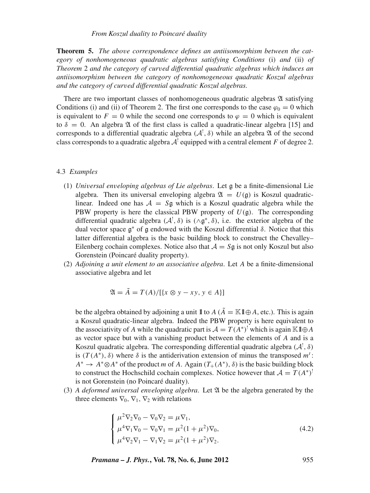**Theorem 5.** *The abo*v*e correspondence defines an antiisomorphism between the category of nonhomogeneous quadratic algebras satisfying Conditions* (i) *and* (ii) *of Theorem* 2 *and the category of cur*v*ed differential quadratic algebras which induces an antiisomorphism between the category of nonhomogeneous quadratic Koszul algebras and the category of cur*v*ed differential quadratic Koszul algebras.*

There are two important classes of nonhomogeneous quadratic algebras  $\mathfrak A$  satisfying Conditions (i) and (ii) of Theorem 2. The first one corresponds to the case  $\varphi_0 = 0$  which is equivalent to  $F = 0$  while the second one corresponds to  $\varphi = 0$  which is equivalent to  $\delta = 0$ . An algebra  $\mathfrak A$  of the first class is called a quadratic-linear algebra [15] and corresponds to a differential quadratic algebra  $(A^!, \delta)$  while an algebra  $\mathfrak A$  of the second class corresponds to a quadratic algebra  $A<sup>1</sup>$  equipped with a central element *F* of degree 2.

#### 4.3 *Examples*

- (1) *Uni*v*ersal en*v*eloping algebras of Lie algebras*. Let g be a finite-dimensional Lie algebra. Then its universal enveloping algebra  $\mathfrak{A} = U(\mathfrak{g})$  is Koszul quadraticlinear. Indeed one has  $A = S_g$  which is a Koszul quadratic algebra while the PBW property is here the classical PBW property of  $U(\mathfrak{g})$ . The corresponding differential quadratic algebra  $(A^!, \delta)$  is  $(\land \mathfrak{g}^*, \delta)$ , i.e. the exterior algebra of the dual vector space  $\alpha^*$  of  $\alpha$  endowed with the Koszul differential δ. Notice that this latter differential algebra is the basic building block to construct the Chevalley– Eilenberg cochain complexes. Notice also that  $A = S<sub>g</sub>$  is not only Koszul but also Gorenstein (Poincaré duality property).
- (2) *Adjoining a unit element to an associati*v*e algebra*. Let *A* be a finite-dimensional associative algebra and let

$$
\mathfrak{A} = \tilde{A} = T(A) / [\{x \otimes y - xy, y \in A\}]
$$

be the algebra obtained by adjoining a unit  $\mathbb{1}$  to  $A$  ( $\tilde{A} = \mathbb{K} \mathbb{1} \oplus A$ , etc.). This is again a Koszul quadratic-linear algebra. Indeed the PBW property is here equivalent to the associativity of *A* while the quadratic part is  $A = T(A^*)^!$  which is again K1 $\oplus A$ as vector space but with a vanishing product between the elements of *A* and is a Koszul quadratic algebra. The corresponding differential quadratic algebra  $(A^!, \delta)$ is  $(T(A^*), \delta)$  where  $\delta$  is the antiderivation extension of minus the transposed  $m^t$ :  $A^* \to A^* \otimes A^*$  of the product *m* of *A*. Again  $(T_+(A^*), \delta)$  is the basic building block to construct the Hochschild cochain complexes. Notice however that  $A = T(A^*)^!$ is not Gorenstein (no Poincaré duality).

(3) *A deformed uni*v*ersal en*v*eloping algebra*. Let A be the algebra generated by the three elements  $\nabla_0$ ,  $\nabla_1$ ,  $\nabla_2$  with relations

$$
\begin{cases}\n\mu^2 \nabla_2 \nabla_0 - \nabla_0 \nabla_2 = \mu \nabla_1, \\
\mu^4 \nabla_1 \nabla_0 - \nabla_0 \nabla_1 = \mu^2 (1 + \mu^2) \nabla_0, \\
\mu^4 \nabla_2 \nabla_1 - \nabla_1 \nabla_2 = \mu^2 (1 + \mu^2) \nabla_2.\n\end{cases}
$$
\n(4.2)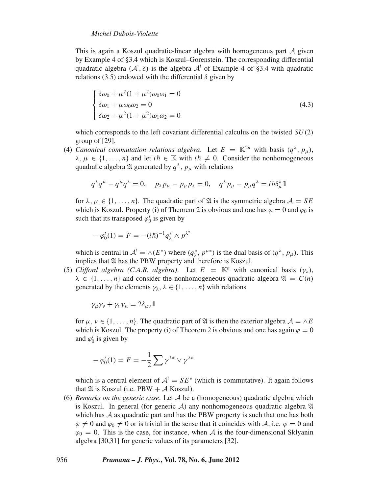## *Michel Dubois-Violette*

This is again a Koszul quadratic-linear algebra with homogeneous part  $\mathcal A$  given by Example 4 of §3.4 which is Koszul–Gorenstein. The corresponding differential quadratic algebra  $(A^!, \delta)$  is the algebra  $A^!$  of Example 4 of §3.4 with quadratic relations (3.5) endowed with the differential  $\delta$  given by

$$
\begin{cases}\n\delta\omega_0 + \mu^2 (1 + \mu^2) \omega_0 \omega_1 = 0 \\
\delta\omega_1 + \mu \omega_0 \omega_2 = 0 \\
\delta\omega_2 + \mu^2 (1 + \mu^2) \omega_1 \omega_2 = 0\n\end{cases}
$$
\n(4.3)

which corresponds to the left covariant differential calculus on the twisted *SU*(2) group of [29].

(4) *Canonical commutation relations algebra.* Let  $E = \mathbb{K}^{2n}$  with basis  $(q^{\lambda}, p_{\mu})$ ,  $\lambda, \mu \in \{1, \ldots, n\}$  and let  $i\hbar \in \mathbb{K}$  with  $i\hbar \neq 0$ . Consider the nonhomogeneous quadratic algebra  $\mathfrak A$  generated by  $q^{\lambda}$ ,  $p_{\mu}$  with relations

$$
q^{\lambda}q^{\mu}-q^{\mu}q^{\lambda}=0, \quad p_{\lambda}p_{\mu}-p_{\mu}p_{\lambda}=0, \quad q^{\lambda}p_{\mu}-p_{\mu}q^{\lambda}=i\hbar\delta^{\lambda}_{\mu}\mathbb{I}
$$

for  $\lambda, \mu \in \{1, \ldots, n\}$ . The quadratic part of  $\mathfrak A$  is the symmetric algebra  $\mathcal A = S E$ which is Koszul. Property (i) of Theorem 2 is obvious and one has  $\varphi = 0$  and  $\varphi_0$  is such that its transposed  $\varphi_0^t$  is given by

$$
-\varphi_0^t(1) = F = -(i\hbar)^{-1}q_{\lambda}^* \wedge p^{\lambda^*}
$$

which is central in  $A^! = \wedge (E^*)$  where  $(q_\lambda^*, p^{\mu*})$  is the dual basis of  $(q^\lambda, p_\mu)$ . This implies that  $\mathfrak A$  has the PBW property and therefore is Koszul.

(5) *Clifford algebra (C.A.R. algebra)*. Let  $E = \mathbb{K}^n$  with canonical basis  $(\gamma_{\lambda})$ ,  $\lambda \in \{1, ..., n\}$  and consider the nonhomogeneous quadratic algebra  $\mathfrak{A} = C(n)$ generated by the elements  $\gamma_{\lambda}$ ,  $\lambda \in \{1, ..., n\}$  with relations

$$
\gamma_{\mu}\gamma_{\nu} + \gamma_{\nu}\gamma_{\mu} = 2\delta_{\mu\nu}\mathbb{1}
$$

for  $\mu, \nu \in \{1, \ldots, n\}$ . The quadratic part of  $\mathfrak A$  is then the exterior algebra  $\mathcal A = \wedge E$ which is Koszul. The property (i) of Theorem 2 is obvious and one has again  $\varphi = 0$ and  $\varphi_0^t$  is given by

$$
-\varphi_0^t(1) = F = -\frac{1}{2}\sum \gamma^{\lambda^*} \vee \gamma^{\lambda^*}
$$

which is a central element of  $A^! = SE^*$  (which is commutative). It again follows that  $\mathfrak A$  is Koszul (i.e. PBW + A Koszul).

(6) *Remarks on the generic case*. Let A be a (homogeneous) quadratic algebra which is Koszul. In general (for generic  $A$ ) any nonhomogeneous quadratic algebra  $\mathfrak A$ which has  $A$  as quadratic part and has the PBW property is such that one has both  $\varphi \neq 0$  and  $\varphi_0 \neq 0$  or is trivial in the sense that it coincides with A, i.e.  $\varphi = 0$  and  $\varphi_0 = 0$ . This is the case, for instance, when A is the four-dimensional Sklyanin algebra [30,31] for generic values of its parameters [32].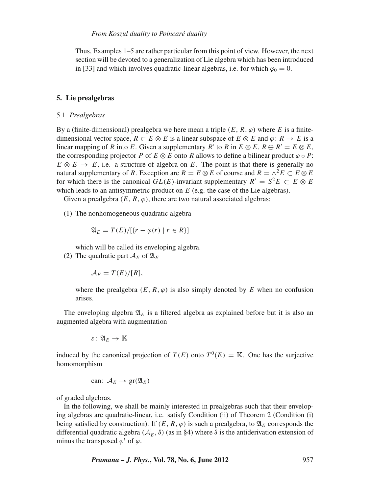Thus, Examples 1–5 are rather particular from this point of view. However, the next section will be devoted to a generalization of Lie algebra which has been introduced in [33] and which involves quadratic-linear algebras, i.e. for which  $\varphi_0 = 0$ .

#### **5. Lie prealgebras**

### 5.1 *Prealgebras*

By a (finite-dimensional) prealgebra we here mean a triple  $(E, R, \varphi)$  where *E* is a finitedimensional vector space,  $R \subset E \otimes E$  is a linear subspace of  $E \otimes E$  and  $\varphi: R \to E$  is a linear mapping of *R* into *E*. Given a supplementary *R'* to *R* in  $E \otimes E$ ,  $R \oplus R' = E \otimes E$ , the corresponding projector *P* of  $E \otimes E$  onto *R* allows to define a bilinear product  $\varphi \circ P$ :  $E \otimes E \rightarrow E$ , i.e. a structure of algebra on *E*. The point is that there is generally no natural supplementary of *R*. Exception are  $R = E \otimes E$  of course and  $R = \wedge^2 E \subset E \otimes E$ for which there is the canonical *GL*(*E*)-invariant supplementary  $R' = S^2 E \subset E \otimes E$ which leads to an antisymmetric product on *E* (e.g. the case of the Lie algebras).

Given a prealgebra  $(E, R, \varphi)$ , there are two natural associated algebras:

(1) The nonhomogeneous quadratic algebra

$$
\mathfrak{A}_E = T(E)/[\{r - \varphi(r) \mid r \in R\}]
$$

which will be called its enveloping algebra.

(2) The quadratic part  $A_E$  of  $\mathfrak{A}_E$ 

$$
\mathcal{A}_E = T(E)/[R],
$$

where the prealgebra  $(E, R, \varphi)$  is also simply denoted by *E* when no confusion arises.

The enveloping algebra  $\mathfrak{A}_E$  is a filtered algebra as explained before but it is also an augmented algebra with augmentation

ε: A*<sup>E</sup>* → K

induced by the canonical projection of  $T(E)$  onto  $T^0(E) = \mathbb{K}$ . One has the surjective homomorphism

can: 
$$
A_E \rightarrow \text{gr}(\mathfrak{A}_E)
$$

of graded algebras.

In the following, we shall be mainly interested in prealgebras such that their enveloping algebras are quadratic-linear, i.e. satisfy Condition (ii) of Theorem 2 (Condition (i) being satisfied by construction). If  $(E, R, \varphi)$  is such a prealgebra, to  $\mathfrak{A}_E$  corresponds the differential quadratic algebra  $(A_E^{\dagger}, \delta)$  (as in §4) where  $\delta$  is the antiderivation extension of minus the transposed  $\varphi^t$  of  $\varphi$ .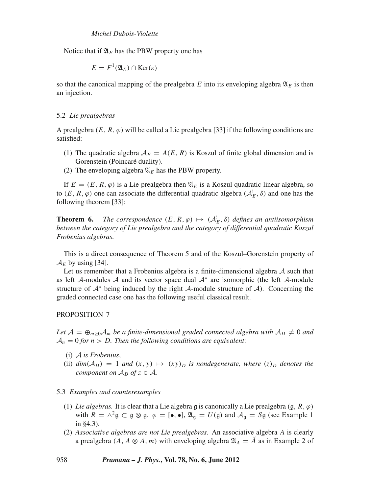Notice that if  $\mathfrak{A}_E$  has the PBW property one has

$$
E = F^1(\mathfrak{A}_E) \cap \text{Ker}(\varepsilon)
$$

so that the canonical mapping of the prealgebra  $E$  into its enveloping algebra  $\mathfrak{A}_E$  is then an injection.

#### 5.2 *Lie prealgebras*

A prealgebra  $(E, R, \varphi)$  will be called a Lie prealgebra [33] if the following conditions are satisfied:

- (1) The quadratic algebra  $A_E = A(E, R)$  is Koszul of finite global dimension and is Gorenstein (Poincaré duality).
- (2) The enveloping algebra  $\mathfrak{A}_E$  has the PBW property.

If  $E = (E, R, \varphi)$  is a Lie prealgebra then  $\mathfrak{A}_E$  is a Koszul quadratic linear algebra, so to  $(E, R, \varphi)$  one can associate the differential quadratic algebra  $(A_E^{\dagger}, \delta)$  and one has the following theorem [33]:

**Theorem 6.** *The correspondence*  $(E, R, \varphi) \mapsto (A_E^! , \delta)$  *defines an antiisomorphism between the category of Lie prealgebra and the category of differential quadratic Koszul Frobenius algebras.*

This is a direct consequence of Theorem 5 and of the Koszul–Gorenstein property of  $A_F$  by using [34].

Let us remember that a Frobenius algebra is a finite-dimensional algebra  $A$  such that as left A-modules A and its vector space dual  $A^*$  are isomorphic (the left A-module structure of  $A^*$  being induced by the right A-module structure of A). Concerning the graded connected case one has the following useful classical result.

## PROPOSITION 7

Let  $A = \bigoplus_{m \geq 0} A_m$  be a finite-dimensional graded connected algebra with  $A_D \neq 0$  and  $A_n = 0$  *for n* > *D*. Then the following conditions are equivalent:

- (i) A *is Frobenius*,
- (ii)  $dim(A_D) = 1$  *and*  $(x, y) \mapsto (xy)_D$  *is nondegenerate, where*  $(z)_D$  *denotes the component on*  $A_D$  *of*  $z \in A$ *.*

## 5.3 *Examples and counterexamples*

- (1) *Lie algebras.* It is clear that a Lie algebra g is canonically a Lie prealgebra  $(g, R, \varphi)$ with  $R = \wedge^2 \mathfrak{g} \subset \mathfrak{g} \otimes \mathfrak{g}, \varphi = [\bullet, \bullet], \mathfrak{A}_{\mathfrak{g}} = U(\mathfrak{g})$  and  $\mathcal{A}_{\mathfrak{g}} = S\mathfrak{g}$  (see Example 1 in §4.3).
- (2) *Associati*v*e algebras are not Lie prealgebras.* An associative algebra *A* is clearly a prealgebra  $(A, A \otimes A, m)$  with enveloping algebra  $\mathfrak{A}_A = A$  as in Example 2 of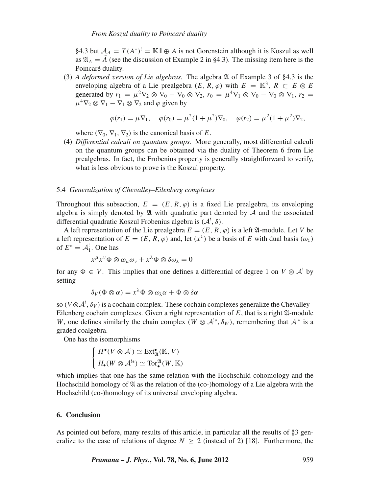## *From Koszul duality to Poincaré duality*

§4.3 but  $A_A = T(A^*)^! = \mathbb{K}1 \oplus A$  is not Gorenstein although it is Koszul as well as  $\mathfrak{A}_A = \tilde{A}$  (see the discussion of Example 2 in §4.3). The missing item here is the Poincaré duality.

(3) *A deformed* v*ersion of Lie algebras.* The algebra A of Example 3 of §4.3 is the enveloping algebra of a Lie prealgebra  $(E, R, \varphi)$  with  $E = \mathbb{K}^3$ ,  $R \subset E \otimes E$ generated by  $r_1 = \mu^2 \nabla_2 \otimes \nabla_0 - \nabla_0 \otimes \nabla_2$ ,  $r_0 = \mu^4 \nabla_1 \otimes \nabla_0 - \nabla_0 \otimes \nabla_1$ ,  $r_2 =$  $\mu^4 \nabla_2 \otimes \nabla_1 - \nabla_1 \otimes \nabla_2$  and  $\varphi$  given by

$$
\varphi(r_1) = \mu \nabla_1, \quad \varphi(r_0) = \mu^2 (1 + \mu^2) \nabla_0, \quad \varphi(r_2) = \mu^2 (1 + \mu^2) \nabla_2,
$$

where  $(\nabla_0, \nabla_1, \nabla_2)$  is the canonical basis of *E*.

(4) *Differential calculi on quantum groups.* More generally, most differential calculi on the quantum groups can be obtained via the duality of Theorem 6 from Lie prealgebras. In fact, the Frobenius property is generally straightforward to verify, what is less obvious to prove is the Koszul property.

#### 5.4 *Generalization of Che*v*alley–Eilenberg complexes*

Throughout this subsection,  $E = (E, R, \varphi)$  is a fixed Lie prealgebra, its enveloping algebra is simply denoted by  $\mathfrak A$  with quadratic part denoted by  $\mathcal A$  and the associated differential quadratic Koszul Frobenius algebra is  $(A^!, \delta)$ .

A left representation of the Lie prealgebra  $E = (E, R, \varphi)$  is a left  $\mathfrak{A}$ -module. Let *V* be a left representation of  $E = (E, R, \varphi)$  and, let  $(x^{\lambda})$  be a basis of *E* with dual basis  $(\omega_{\lambda})$ of  $E^* = \mathcal{A}_1^!$ . One has

$$
x^{\mu}x^{\nu}\Phi \otimes \omega_{\mu}\omega_{\nu} + x^{\lambda}\Phi \otimes \delta \omega_{\lambda} = 0
$$

for any  $\Phi \in V$ . This implies that one defines a differential of degree 1 on  $V \otimes A^{\dagger}$  by setting

$$
\delta_V(\Phi \otimes \alpha) = x^{\lambda} \Phi \otimes \omega_{\lambda} \alpha + \Phi \otimes \delta \alpha
$$

so ( $V \otimes A^!, \delta_V$ ) is a cochain complex. These cochain complexes generalize the Chevalley– Eilenberg cochain complexes. Given a right representation of  $E$ , that is a right  $\mathfrak{A}$ -module *W*, one defines similarly the chain complex ( $W \otimes A^{!*}$ ,  $\delta_W$ ), remembering that  $A^{!*}$  is a graded coalgebra.

One has the isomorphisms

$$
\begin{cases}\nH^{\bullet}(V \otimes A^!) \simeq \text{Ext}_{\mathfrak{A}}^{\bullet}(\mathbb{K}, V) \\
H_{\bullet}(W \otimes A^{!*}) \simeq \text{Tor}_{\bullet}^{\mathfrak{A}}(W, \mathbb{K})\n\end{cases}
$$

which implies that one has the same relation with the Hochschild cohomology and the Hochschild homology of  $\mathfrak A$  as the relation of the (co-)homology of a Lie algebra with the Hochschild (co-)homology of its universal enveloping algebra.

### **6. Conclusion**

As pointed out before, many results of this article, in particular all the results of §3 generalize to the case of relations of degree  $N \ge 2$  (instead of 2) [18]. Furthermore, the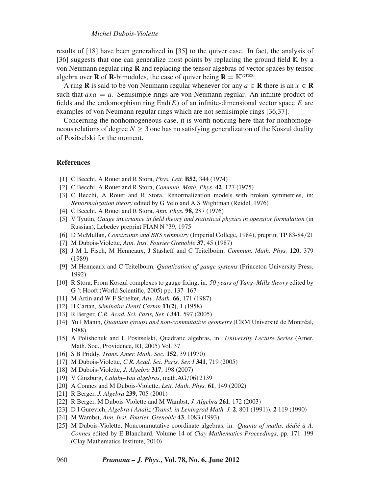results of [18] have been generalized in [35] to the quiver case. In fact, the analysis of [36] suggests that one can generalize most points by replacing the ground field  $\mathbb{K}$  by a von Neumann regular ring **R** and replacing the tensor algebras of vector spaces by tensor algebra over **R** of **R**-bimodules, the case of quiver being  $\mathbf{R} = \mathbb{K}^{\text{vertex}}$ .

A ring **R** is said to be von Neumann regular whenever for any  $a \in \mathbb{R}$  there is an  $x \in \mathbb{R}$ such that  $axa = a$ . Semisimple rings are von Neumann regular. An infinite product of fields and the endomorphism ring End(*E*) of an infinite-dimensional vector space *E* are examples of von Neumann regular rings which are not semisimple rings [36,37].

Concerning the nonhomogeneous case, it is worth noticing here that for nonhomogeneous relations of degree  $N > 3$  one has no satisfying generalization of the Koszul duality of Positselski for the moment.

#### **References**

- [1] C Becchi, A Rouet and R Stora, *Phys. Lett.* **B52**, 344 (1974)
- [2] C Becchi, A Rouet and R Stora, *Commun. Math. Phys.* **42**, 127 (1975)
- [3] C Becchi, A Rouet and R Stora, Renormalization models with broken symmetries, in: *Renormalization theory* edited by G Velo and A S Wightman (Reidel, 1976)
- [4] C Becchi, A Rouet and R Stora, *Ann. Phys.* **98**, 287 (1976)
- [5] V Tyutin, *Gauge in*v*ariance in field theory and statistical physics in operator formulation* (in Russian), Lebedev preprint FIAN N ◦39, 1975
- [6] D McMullan, *Constraints and BRS symmetry* (Imperial College, 1984), preprint TP 83-84/21
- [7] M Dubois-Violette, *Ann. Inst. Fourier Grenoble* **37**, 45 (1987)
- [8] J M L Fisch, M Henneaux, J Stasheff and C Teitelboim, *Commun. Math. Phys.* **120**, 379 (1989)
- [9] M Henneaux and C Teitelboim, *Quantization of gauge systems* (Princeton University Press, 1992)
- [10] R Stora, From Koszul complexes to gauge fixing, in: *50 years of Yang–Mills theory* edited by G 't Hooft (World Scientific, 2005) pp. 137–167
- [11] M Artin and W F Schelter, *Ad*v*. Math.* **66**, 171 (1987)
- [12] H Cartan, *Séminaire Henri Cartan* **11(2)**, 1 (1958)
- [13] R Berger, *C.R. Acad. Sci. Paris, Ser. I* **341**, 597 (2005)
- [14] Yu I Manin, *Quantum groups and non-commutati*v*e geometry* (CRM Université de Montréal, 1988)
- [15] A Polishchuk and L Positselski, Quadratic algebras, in: *Uni*v*ersity Lecture Series* (Amer. Math. Soc., Providence, RI, 2005) Vol. 37
- [16] S B Priddy, *Trans. Amer. Math. Soc.* **152**, 39 (1970)
- [17] M Dubois-Violette, *C.R. Acad. Sci. Paris, Ser. I* **341**, 719 (2005)
- [18] M Dubois-Violette, *J. Algebra* **317**, 198 (2007)
- [19] V Ginzburg, *Calabi–Yau algebras*, math.AG/0612139
- [20] A Connes and M Dubois-Violette, *Lett. Math. Phys.* **61**, 149 (2002)
- [21] R Berger, *J. Algebra* **239**, 705 (2001)
- [22] R Berger, M Dubois-Violette and M Wambst, *J. Algebra* **261**, 172 (2003)
- [23] D I Gurevich, *Algebra i Analiz (Transl. in Leningrad Math. J.* **2**, 801 (1991)), **2** 119 (1990)
- [24] M Wambst, *Ann. Inst. Fourier, Grenoble* **43**, 1083 (1993)
- [25] M Dubois-Violette, Noncommutative coordinate algebras, in: *Quanta of maths, dédié à A. Connes* edited by E Blanchard, Volume 14 of *Clay Mathematics Proceedings*, pp. 171–199 (Clay Mathematics Institute, 2010)